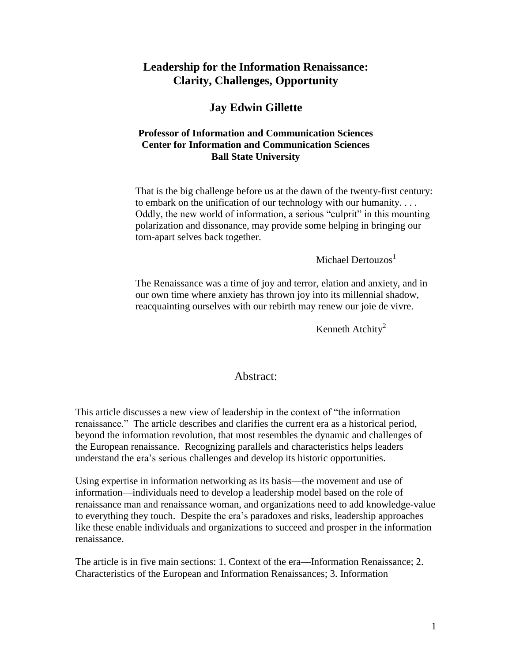## **Leadership for the Information Renaissance: Clarity, Challenges, Opportunity**

## **Jay Edwin Gillette**

### **Professor of Information and Communication Sciences Center for Information and Communication Sciences Ball State University**

That is the big challenge before us at the dawn of the twenty-first century: to embark on the unification of our technology with our humanity. . . . Oddly, the new world of information, a serious "culprit" in this mounting polarization and dissonance, may provide some helping in bringing our torn-apart selves back together.

Michael Dertouzos $<sup>1</sup>$ </sup>

The Renaissance was a time of joy and terror, elation and anxiety, and in our own time where anxiety has thrown joy into its millennial shadow, reacquainting ourselves with our rebirth may renew our joie de vivre.

Kenneth Atchity<sup>2</sup>

### Abstract:

This article discusses a new view of leadership in the context of "the information" renaissance." The article describes and clarifies the current era as a historical period, beyond the information revolution, that most resembles the dynamic and challenges of the European renaissance. Recognizing parallels and characteristics helps leaders understand the era's serious challenges and develop its historic opportunities.

Using expertise in information networking as its basis—the movement and use of information—individuals need to develop a leadership model based on the role of renaissance man and renaissance woman, and organizations need to add knowledge-value to everything they touch. Despite the era's paradoxes and risks, leadership approaches like these enable individuals and organizations to succeed and prosper in the information renaissance.

The article is in five main sections: 1. Context of the era—Information Renaissance; 2. Characteristics of the European and Information Renaissances; 3. Information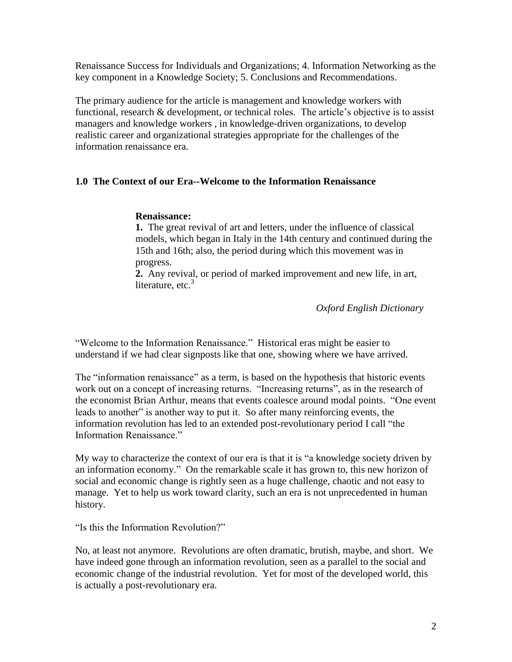Renaissance Success for Individuals and Organizations; 4. Information Networking as the key component in a Knowledge Society; 5. Conclusions and Recommendations.

The primary audience for the article is management and knowledge workers with functional, research & development, or technical roles. The article's objective is to assist managers and knowledge workers , in knowledge-driven organizations, to develop realistic career and organizational strategies appropriate for the challenges of the information renaissance era.

### **1.0 The Context of our Era--Welcome to the Information Renaissance**

#### **Renaissance:**

**1.** The great revival of art and letters, under the influence of classical models, which began in Italy in the 14th century and continued during the 15th and 16th; also, the period during which this movement was in progress.

**2.** Any revival, or period of marked improvement and new life, in art, literature, etc. $3$ 

*Oxford English Dictionary*

"Welcome to the Information Renaissance." Historical eras might be easier to understand if we had clear signposts like that one, showing where we have arrived.

The "information renaissance" as a term, is based on the hypothesis that historic events work out on a concept of increasing returns. "Increasing returns", as in the research of the economist Brian Arthur, means that events coalesce around modal points. "One event leads to another" is another way to put it. So after many reinforcing events, the information revolution has led to an extended post-revolutionary period I call "the Information Renaissance."

My way to characterize the context of our era is that it is "a knowledge society driven by an information economy." On the remarkable scale it has grown to, this new horizon of social and economic change is rightly seen as a huge challenge, chaotic and not easy to manage. Yet to help us work toward clarity, such an era is not unprecedented in human history.

"Is this the Information Revolution?"

No, at least not anymore. Revolutions are often dramatic, brutish, maybe, and short. We have indeed gone through an information revolution, seen as a parallel to the social and economic change of the industrial revolution. Yet for most of the developed world, this is actually a post-revolutionary era.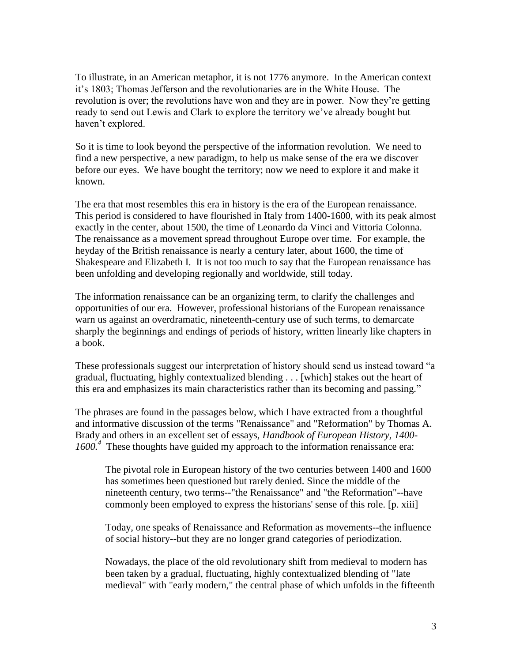To illustrate, in an American metaphor, it is not 1776 anymore. In the American context it's 1803; Thomas Jefferson and the revolutionaries are in the White House. The revolution is over; the revolutions have won and they are in power. Now they're getting ready to send out Lewis and Clark to explore the territory we've already bought but haven't explored.

So it is time to look beyond the perspective of the information revolution. We need to find a new perspective, a new paradigm, to help us make sense of the era we discover before our eyes. We have bought the territory; now we need to explore it and make it known.

The era that most resembles this era in history is the era of the European renaissance. This period is considered to have flourished in Italy from 1400-1600, with its peak almost exactly in the center, about 1500, the time of Leonardo da Vinci and Vittoria Colonna. The renaissance as a movement spread throughout Europe over time. For example, the heyday of the British renaissance is nearly a century later, about 1600, the time of Shakespeare and Elizabeth I. It is not too much to say that the European renaissance has been unfolding and developing regionally and worldwide, still today.

The information renaissance can be an organizing term, to clarify the challenges and opportunities of our era. However, professional historians of the European renaissance warn us against an overdramatic, nineteenth-century use of such terms, to demarcate sharply the beginnings and endings of periods of history, written linearly like chapters in a book.

These professionals suggest our interpretation of history should send us instead toward "a gradual, fluctuating, highly contextualized blending . . . [which] stakes out the heart of this era and emphasizes its main characteristics rather than its becoming and passing."

The phrases are found in the passages below, which I have extracted from a thoughtful and informative discussion of the terms "Renaissance" and "Reformation" by Thomas A. Brady and others in an excellent set of essays, *Handbook of European History, 1400-* 1600.<sup>4</sup> These thoughts have guided my approach to the information renaissance era:

The pivotal role in European history of the two centuries between 1400 and 1600 has sometimes been questioned but rarely denied. Since the middle of the nineteenth century, two terms--"the Renaissance" and "the Reformation"--have commonly been employed to express the historians' sense of this role. [p. xiii]

Today, one speaks of Renaissance and Reformation as movements--the influence of social history--but they are no longer grand categories of periodization.

Nowadays, the place of the old revolutionary shift from medieval to modern has been taken by a gradual, fluctuating, highly contextualized blending of "late medieval" with "early modern," the central phase of which unfolds in the fifteenth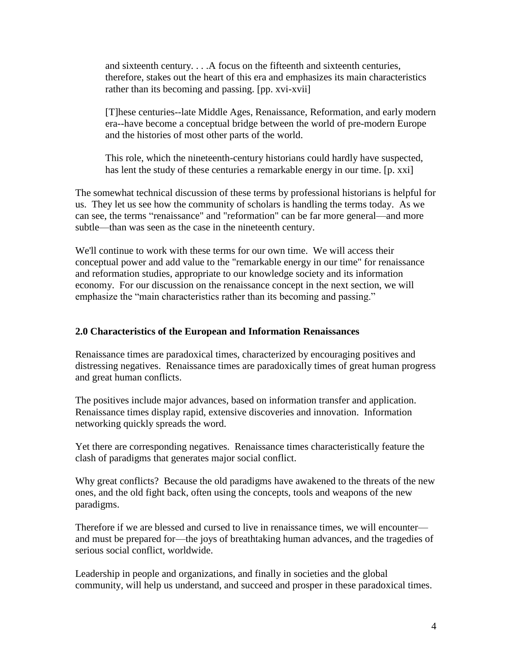and sixteenth century. . . .A focus on the fifteenth and sixteenth centuries, therefore, stakes out the heart of this era and emphasizes its main characteristics rather than its becoming and passing. [pp. xvi-xvii]

[T]hese centuries--late Middle Ages, Renaissance, Reformation, and early modern era--have become a conceptual bridge between the world of pre-modern Europe and the histories of most other parts of the world.

This role, which the nineteenth-century historians could hardly have suspected, has lent the study of these centuries a remarkable energy in our time. [p. xxi]

The somewhat technical discussion of these terms by professional historians is helpful for us. They let us see how the community of scholars is handling the terms today. As we can see, the terms "renaissance" and "reformation" can be far more general—and more subtle—than was seen as the case in the nineteenth century.

We'll continue to work with these terms for our own time. We will access their conceptual power and add value to the "remarkable energy in our time" for renaissance and reformation studies, appropriate to our knowledge society and its information economy. For our discussion on the renaissance concept in the next section, we will emphasize the "main characteristics rather than its becoming and passing."

#### **2.0 Characteristics of the European and Information Renaissances**

Renaissance times are paradoxical times, characterized by encouraging positives and distressing negatives. Renaissance times are paradoxically times of great human progress and great human conflicts.

The positives include major advances, based on information transfer and application. Renaissance times display rapid, extensive discoveries and innovation. Information networking quickly spreads the word.

Yet there are corresponding negatives. Renaissance times characteristically feature the clash of paradigms that generates major social conflict.

Why great conflicts? Because the old paradigms have awakened to the threats of the new ones, and the old fight back, often using the concepts, tools and weapons of the new paradigms.

Therefore if we are blessed and cursed to live in renaissance times, we will encounter and must be prepared for—the joys of breathtaking human advances, and the tragedies of serious social conflict, worldwide.

Leadership in people and organizations, and finally in societies and the global community, will help us understand, and succeed and prosper in these paradoxical times.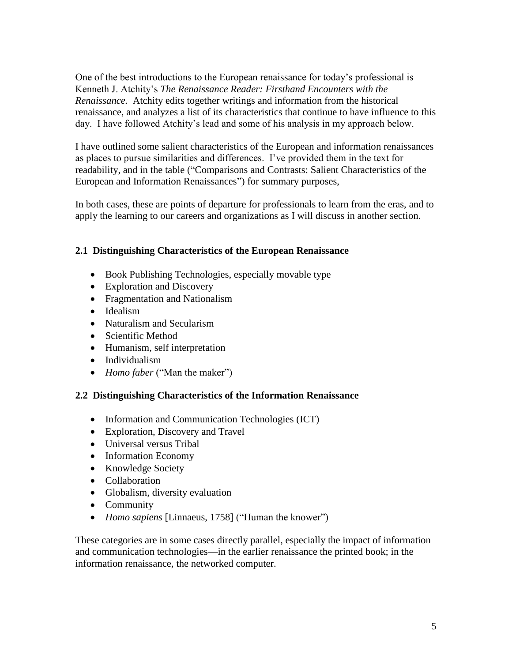One of the best introductions to the European renaissance for today's professional is Kenneth J. Atchity's *The Renaissance Reader: Firsthand Encounters with the Renaissance.* Atchity edits together writings and information from the historical renaissance, and analyzes a list of its characteristics that continue to have influence to this day. I have followed Atchity's lead and some of his analysis in my approach below.

I have outlined some salient characteristics of the European and information renaissances as places to pursue similarities and differences. I've provided them in the text for readability, and in the table ("Comparisons and Contrasts: Salient Characteristics of the European and Information Renaissances") for summary purposes,

In both cases, these are points of departure for professionals to learn from the eras, and to apply the learning to our careers and organizations as I will discuss in another section.

### **2.1 Distinguishing Characteristics of the European Renaissance**

- Book Publishing Technologies, especially movable type
- Exploration and Discovery
- Fragmentation and Nationalism
- Idealism
- Naturalism and Secularism
- Scientific Method
- Humanism, self interpretation
- Individualism
- *Homo faber* ("Man the maker")

### **2.2 Distinguishing Characteristics of the Information Renaissance**

- Information and Communication Technologies (ICT)
- Exploration, Discovery and Travel
- Universal versus Tribal
- Information Economy
- Knowledge Society
- Collaboration
- Globalism, diversity evaluation
- Community
- *Homo sapiens* [Linnaeus, 1758] ("Human the knower")

These categories are in some cases directly parallel, especially the impact of information and communication technologies—in the earlier renaissance the printed book; in the information renaissance, the networked computer.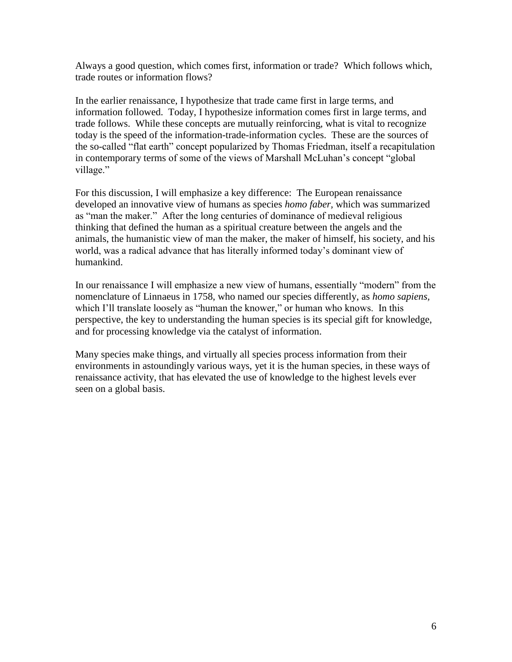Always a good question, which comes first, information or trade? Which follows which, trade routes or information flows?

In the earlier renaissance, I hypothesize that trade came first in large terms, and information followed. Today, I hypothesize information comes first in large terms, and trade follows. While these concepts are mutually reinforcing, what is vital to recognize today is the speed of the information-trade-information cycles. These are the sources of the so-called "flat earth" concept popularized by Thomas Friedman, itself a recapitulation in contemporary terms of some of the views of Marshall McLuhan's concept "global village."

For this discussion, I will emphasize a key difference: The European renaissance developed an innovative view of humans as species *homo faber,* which was summarized as "man the maker." After the long centuries of dominance of medieval religious thinking that defined the human as a spiritual creature between the angels and the animals, the humanistic view of man the maker, the maker of himself, his society, and his world, was a radical advance that has literally informed today's dominant view of humankind.

In our renaissance I will emphasize a new view of humans, essentially "modern" from the nomenclature of Linnaeus in 1758, who named our species differently, as *homo sapiens,* which I'll translate loosely as "human the knower," or human who knows. In this perspective, the key to understanding the human species is its special gift for knowledge, and for processing knowledge via the catalyst of information.

Many species make things, and virtually all species process information from their environments in astoundingly various ways, yet it is the human species, in these ways of renaissance activity, that has elevated the use of knowledge to the highest levels ever seen on a global basis.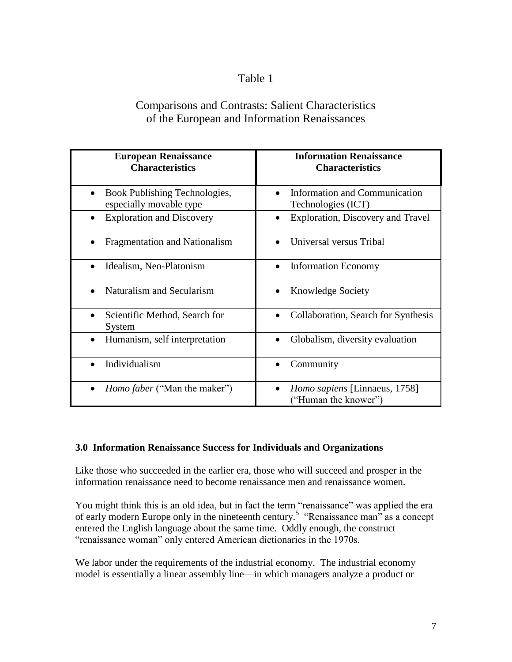## Table 1

# Comparisons and Contrasts: Salient Characteristics of the European and Information Renaissances

| <b>European Renaissance</b><br><b>Characteristics</b>    | <b>Information Renaissance</b><br><b>Characteristics</b> |  |  |
|----------------------------------------------------------|----------------------------------------------------------|--|--|
| Book Publishing Technologies,<br>especially movable type | Information and Communication<br>Technologies (ICT)      |  |  |
| <b>Exploration and Discovery</b>                         | Exploration, Discovery and Travel                        |  |  |
| <b>Fragmentation and Nationalism</b>                     | Universal versus Tribal                                  |  |  |
| Idealism, Neo-Platonism                                  | <b>Information Economy</b>                               |  |  |
| Naturalism and Secularism                                | <b>Knowledge Society</b>                                 |  |  |
| Scientific Method, Search for<br>$\bullet$<br>System     | Collaboration, Search for Synthesis                      |  |  |
| Humanism, self interpretation                            | Globalism, diversity evaluation                          |  |  |
| Individualism                                            | Community                                                |  |  |
| <i>Homo faber</i> ("Man the maker")<br>$\bullet$         | Homo sapiens [Linnaeus, 1758]<br>"Human the knower")     |  |  |

### **3.0 Information Renaissance Success for Individuals and Organizations**

Like those who succeeded in the earlier era, those who will succeed and prosper in the information renaissance need to become renaissance men and renaissance women.

You might think this is an old idea, but in fact the term "renaissance" was applied the era of early modern Europe only in the nineteenth century.<sup>5</sup> "Renaissance man" as a concept entered the English language about the same time. Oddly enough, the construct "renaissance woman" only entered American dictionaries in the 1970s.

We labor under the requirements of the industrial economy. The industrial economy model is essentially a linear assembly line—in which managers analyze a product or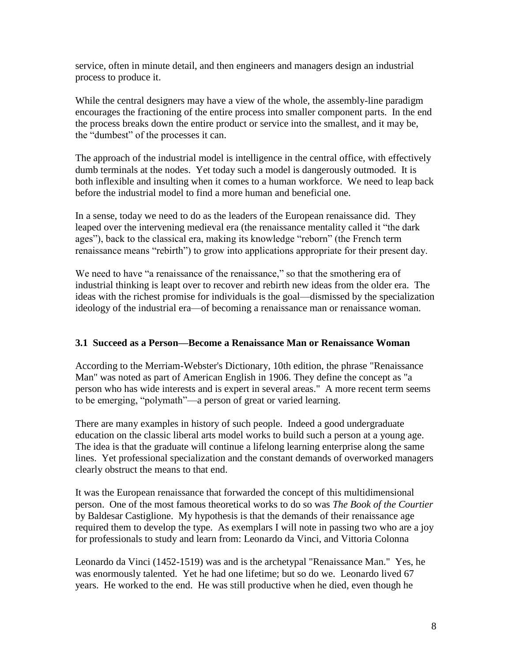service, often in minute detail, and then engineers and managers design an industrial process to produce it.

While the central designers may have a view of the whole, the assembly-line paradigm encourages the fractioning of the entire process into smaller component parts. In the end the process breaks down the entire product or service into the smallest, and it may be, the "dumbest" of the processes it can.

The approach of the industrial model is intelligence in the central office, with effectively dumb terminals at the nodes. Yet today such a model is dangerously outmoded. It is both inflexible and insulting when it comes to a human workforce. We need to leap back before the industrial model to find a more human and beneficial one.

In a sense, today we need to do as the leaders of the European renaissance did. They leaped over the intervening medieval era (the renaissance mentality called it "the dark" ages"), back to the classical era, making its knowledge "reborn" (the French term renaissance means "rebirth") to grow into applications appropriate for their present day.

We need to have "a renaissance of the renaissance," so that the smothering era of industrial thinking is leapt over to recover and rebirth new ideas from the older era. The ideas with the richest promise for individuals is the goal—dismissed by the specialization ideology of the industrial era—of becoming a renaissance man or renaissance woman.

### **3.1 Succeed as a Person—Become a Renaissance Man or Renaissance Woman**

According to the Merriam-Webster's Dictionary, 10th edition, the phrase "Renaissance Man" was noted as part of American English in 1906. They define the concept as "a person who has wide interests and is expert in several areas." A more recent term seems to be emerging, "polymath"—a person of great or varied learning.

There are many examples in history of such people. Indeed a good undergraduate education on the classic liberal arts model works to build such a person at a young age. The idea is that the graduate will continue a lifelong learning enterprise along the same lines. Yet professional specialization and the constant demands of overworked managers clearly obstruct the means to that end.

It was the European renaissance that forwarded the concept of this multidimensional person. One of the most famous theoretical works to do so was *The Book of the Courtier* by Baldesar Castiglione. My hypothesis is that the demands of their renaissance age required them to develop the type. As exemplars I will note in passing two who are a joy for professionals to study and learn from: Leonardo da Vinci, and Vittoria Colonna

Leonardo da Vinci (1452-1519) was and is the archetypal "Renaissance Man." Yes, he was enormously talented. Yet he had one lifetime; but so do we. Leonardo lived 67 years. He worked to the end. He was still productive when he died, even though he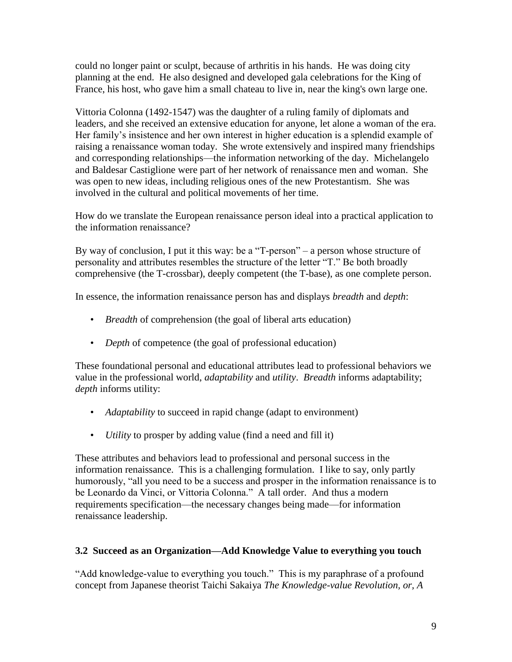could no longer paint or sculpt, because of arthritis in his hands. He was doing city planning at the end. He also designed and developed gala celebrations for the King of France, his host, who gave him a small chateau to live in, near the king's own large one.

Vittoria Colonna (1492-1547) was the daughter of a ruling family of diplomats and leaders, and she received an extensive education for anyone, let alone a woman of the era. Her family's insistence and her own interest in higher education is a splendid example of raising a renaissance woman today. She wrote extensively and inspired many friendships and corresponding relationships—the information networking of the day. Michelangelo and Baldesar Castiglione were part of her network of renaissance men and woman. She was open to new ideas, including religious ones of the new Protestantism. She was involved in the cultural and political movements of her time.

How do we translate the European renaissance person ideal into a practical application to the information renaissance?

By way of conclusion, I put it this way: be a "T-person" – a person whose structure of personality and attributes resembles the structure of the letter "T." Be both broadly comprehensive (the T-crossbar), deeply competent (the T-base), as one complete person.

In essence, the information renaissance person has and displays *breadth* and *depth*:

- *Breadth* of comprehension (the goal of liberal arts education)
- *Depth* of competence (the goal of professional education)

These foundational personal and educational attributes lead to professional behaviors we value in the professional world, *adaptability* and *utility*. *Breadth* informs adaptability; *depth* informs utility:

- *Adaptability* to succeed in rapid change (adapt to environment)
- *Utility* to prosper by adding value (find a need and fill it)

These attributes and behaviors lead to professional and personal success in the information renaissance. This is a challenging formulation. I like to say, only partly humorously, "all you need to be a success and prosper in the information renaissance is to be Leonardo da Vinci, or Vittoria Colonna." A tall order. And thus a modern requirements specification—the necessary changes being made—for information renaissance leadership.

### **3.2 Succeed as an Organization—Add Knowledge Value to everything you touch**

"Add knowledge-value to everything you touch." This is my paraphrase of a profound concept from Japanese theorist Taichi Sakaiya *The Knowledge-value Revolution, or, A*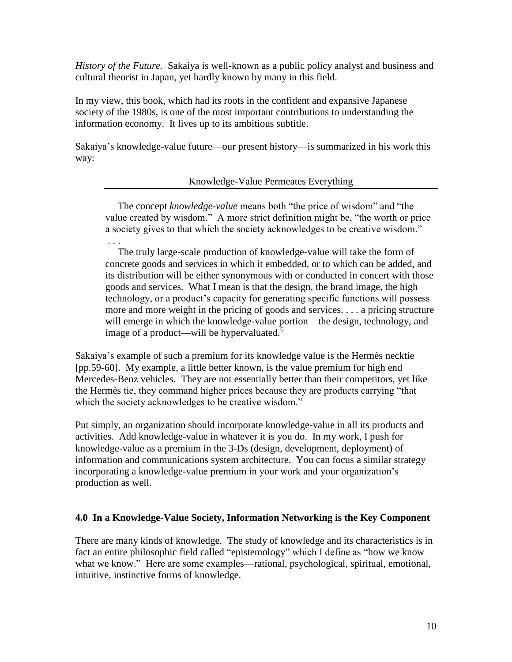*History of the Future.* Sakaiya is well-known as a public policy analyst and business and cultural theorist in Japan, yet hardly known by many in this field.

In my view, this book, which had its roots in the confident and expansive Japanese society of the 1980s, is one of the most important contributions to understanding the information economy. It lives up to its ambitious subtitle.

Sakaiya's knowledge-value future—our present history—is summarized in his work this way:

#### Knowledge-Value Permeates Everything

The concept *knowledge-value* means both "the price of wisdom" and "the value created by wisdom." A more strict definition might be, "the worth or price a society gives to that which the society acknowledges to be creative wisdom." . . .

 The truly large-scale production of knowledge-value will take the form of concrete goods and services in which it embedded, or to which can be added, and its distribution will be either synonymous with or conducted in concert with those goods and services. What I mean is that the design, the brand image, the high technology, or a product's capacity for generating specific functions will possess more and more weight in the pricing of goods and services. . . . a pricing structure will emerge in which the knowledge-value portion—the design, technology, and image of a product—will be hypervaluated. $6$ 

Sakaiya's example of such a premium for its knowledge value is the Hermès necktie [pp.59-60]. My example, a little better known, is the value premium for high end Mercedes-Benz vehicles. They are not essentially better than their competitors, yet like the Hermès tie, they command higher prices because they are products carrying "that which the society acknowledges to be creative wisdom."

Put simply, an organization should incorporate knowledge-value in all its products and activities. Add knowledge-value in whatever it is you do. In my work, I push for knowledge-value as a premium in the 3-Ds (design, development, deployment) of information and communications system architecture. You can focus a similar strategy incorporating a knowledge-value premium in your work and your organization's production as well.

### **4.0 In a Knowledge-Value Society, Information Networking is the Key Component**

There are many kinds of knowledge. The study of knowledge and its characteristics is in fact an entire philosophic field called "epistemology" which I define as "how we know what we know." Here are some examples—rational, psychological, spiritual, emotional, intuitive, instinctive forms of knowledge.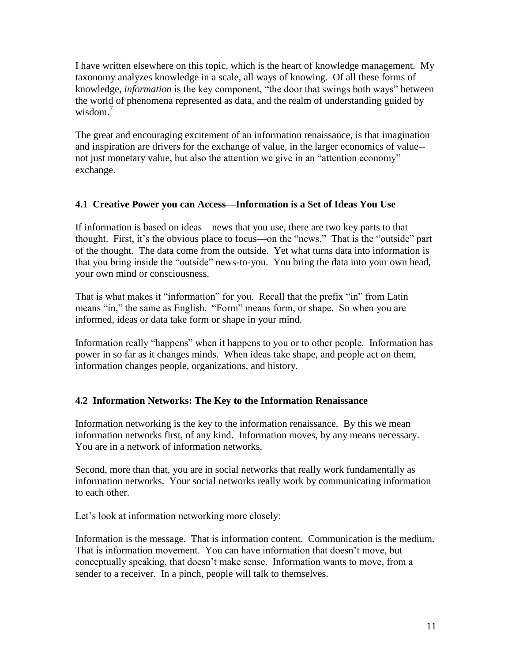I have written elsewhere on this topic, which is the heart of knowledge management. My taxonomy analyzes knowledge in a scale, all ways of knowing. Of all these forms of knowledge, *information* is the key component, "the door that swings both ways" between the world of phenomena represented as data, and the realm of understanding guided by wisdom.<sup>7</sup>

The great and encouraging excitement of an information renaissance, is that imagination and inspiration are drivers for the exchange of value, in the larger economics of value- not just monetary value, but also the attention we give in an "attention economy" exchange.

### **4.1 Creative Power you can Access—Information is a Set of Ideas You Use**

If information is based on ideas—news that you use, there are two key parts to that thought. First, it's the obvious place to focus—on the "news." That is the "outside" part of the thought. The data come from the outside. Yet what turns data into information is that you bring inside the "outside" news-to-you. You bring the data into your own head, your own mind or consciousness.

That is what makes it "information" for you. Recall that the prefix "in" from Latin means "in," the same as English. "Form" means form, or shape. So when you are informed, ideas or data take form or shape in your mind.

Information really "happens" when it happens to you or to other people. Information has power in so far as it changes minds. When ideas take shape, and people act on them, information changes people, organizations, and history.

### **4.2 Information Networks: The Key to the Information Renaissance**

Information networking is the key to the information renaissance. By this we mean information networks first, of any kind. Information moves, by any means necessary. You are in a network of information networks.

Second, more than that, you are in social networks that really work fundamentally as information networks. Your social networks really work by communicating information to each other.

Let's look at information networking more closely:

Information is the message. That is information content. Communication is the medium. That is information movement. You can have information that doesn't move, but conceptually speaking, that doesn't make sense. Information wants to move, from a sender to a receiver. In a pinch, people will talk to themselves.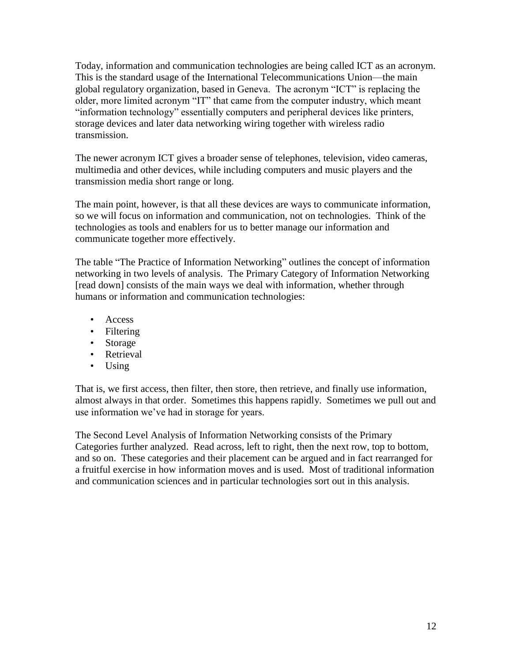Today, information and communication technologies are being called ICT as an acronym. This is the standard usage of the International Telecommunications Union—the main global regulatory organization, based in Geneva. The acronym "ICT" is replacing the older, more limited acronym "IT" that came from the computer industry, which meant "information technology" essentially computers and peripheral devices like printers, storage devices and later data networking wiring together with wireless radio transmission.

The newer acronym ICT gives a broader sense of telephones, television, video cameras, multimedia and other devices, while including computers and music players and the transmission media short range or long.

The main point, however, is that all these devices are ways to communicate information, so we will focus on information and communication, not on technologies. Think of the technologies as tools and enablers for us to better manage our information and communicate together more effectively.

The table "The Practice of Information Networking" outlines the concept of information networking in two levels of analysis. The Primary Category of Information Networking [read down] consists of the main ways we deal with information, whether through humans or information and communication technologies:

- Access
- Filtering
- Storage
- Retrieval
- Using

That is, we first access, then filter, then store, then retrieve, and finally use information, almost always in that order. Sometimes this happens rapidly. Sometimes we pull out and use information we've had in storage for years.

The Second Level Analysis of Information Networking consists of the Primary Categories further analyzed. Read across, left to right, then the next row, top to bottom, and so on. These categories and their placement can be argued and in fact rearranged for a fruitful exercise in how information moves and is used. Most of traditional information and communication sciences and in particular technologies sort out in this analysis.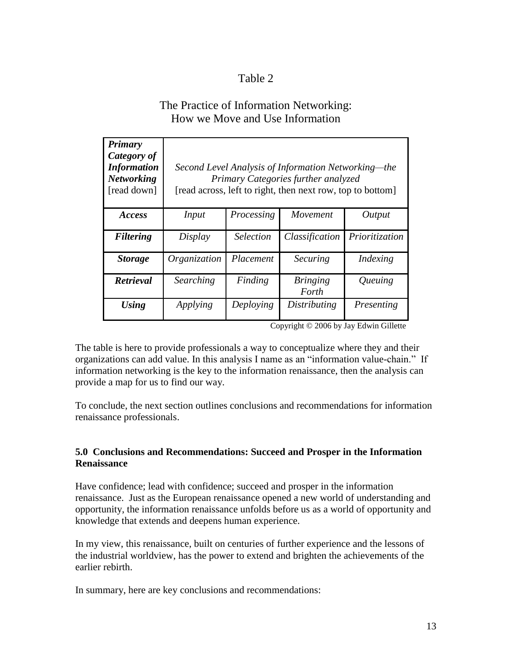## Table 2

## The Practice of Information Networking: How we Move and Use Information

| <b>Primary</b><br>Category of<br><b>Information</b><br><b>Networking</b><br>[read down] | Second Level Analysis of Information Networking—the<br>Primary Categories further analyzed<br>[read across, left to right, then next row, top to bottom] |                                |                          |                |
|-----------------------------------------------------------------------------------------|----------------------------------------------------------------------------------------------------------------------------------------------------------|--------------------------------|--------------------------|----------------|
| <i>Access</i>                                                                           | Input                                                                                                                                                    | Processing                     | Movement                 | Output         |
| <b>Filtering</b>                                                                        | Display                                                                                                                                                  | <i><u><b>Selection</b></u></i> | Classification           | Prioritization |
| <b>Storage</b>                                                                          | Organization                                                                                                                                             | Placement                      | <b>Securing</b>          | Indexing       |
| Retrieval                                                                               | Searching                                                                                                                                                | Finding                        | <b>Bringing</b><br>Forth | Queuing        |
| <b>Using</b>                                                                            | Applying                                                                                                                                                 | Deploying                      | <b>Distributing</b>      | Presenting     |

Copyright © 2006 by Jay Edwin Gillette

The table is here to provide professionals a way to conceptualize where they and their organizations can add value. In this analysis I name as an "information value-chain." If information networking is the key to the information renaissance, then the analysis can provide a map for us to find our way.

To conclude, the next section outlines conclusions and recommendations for information renaissance professionals.

#### **5.0 Conclusions and Recommendations: Succeed and Prosper in the Information Renaissance**

Have confidence; lead with confidence; succeed and prosper in the information renaissance. Just as the European renaissance opened a new world of understanding and opportunity, the information renaissance unfolds before us as a world of opportunity and knowledge that extends and deepens human experience.

In my view, this renaissance, built on centuries of further experience and the lessons of the industrial worldview, has the power to extend and brighten the achievements of the earlier rebirth.

In summary, here are key conclusions and recommendations: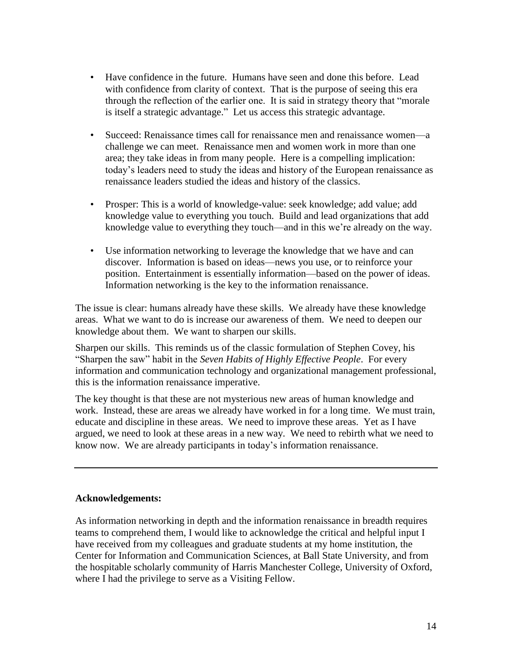- Have confidence in the future. Humans have seen and done this before. Lead with confidence from clarity of context. That is the purpose of seeing this era through the reflection of the earlier one. It is said in strategy theory that "morale" is itself a strategic advantage." Let us access this strategic advantage.
- Succeed: Renaissance times call for renaissance men and renaissance women—a challenge we can meet. Renaissance men and women work in more than one area; they take ideas in from many people. Here is a compelling implication: today's leaders need to study the ideas and history of the European renaissance as renaissance leaders studied the ideas and history of the classics.
- Prosper: This is a world of knowledge-value: seek knowledge; add value; add knowledge value to everything you touch. Build and lead organizations that add knowledge value to everything they touch—and in this we're already on the way.
- Use information networking to leverage the knowledge that we have and can discover. Information is based on ideas—news you use, or to reinforce your position. Entertainment is essentially information—based on the power of ideas. Information networking is the key to the information renaissance.

The issue is clear: humans already have these skills. We already have these knowledge areas. What we want to do is increase our awareness of them. We need to deepen our knowledge about them. We want to sharpen our skills.

Sharpen our skills. This reminds us of the classic formulation of Stephen Covey, his "Sharpen the saw" habit in the *Seven Habits of Highly Effective People*. For every information and communication technology and organizational management professional, this is the information renaissance imperative.

The key thought is that these are not mysterious new areas of human knowledge and work. Instead, these are areas we already have worked in for a long time. We must train, educate and discipline in these areas. We need to improve these areas. Yet as I have argued, we need to look at these areas in a new way. We need to rebirth what we need to know now. We are already participants in today's information renaissance.

### **Acknowledgements:**

As information networking in depth and the information renaissance in breadth requires teams to comprehend them, I would like to acknowledge the critical and helpful input I have received from my colleagues and graduate students at my home institution, the Center for Information and Communication Sciences, at Ball State University, and from the hospitable scholarly community of Harris Manchester College, University of Oxford, where I had the privilege to serve as a Visiting Fellow.